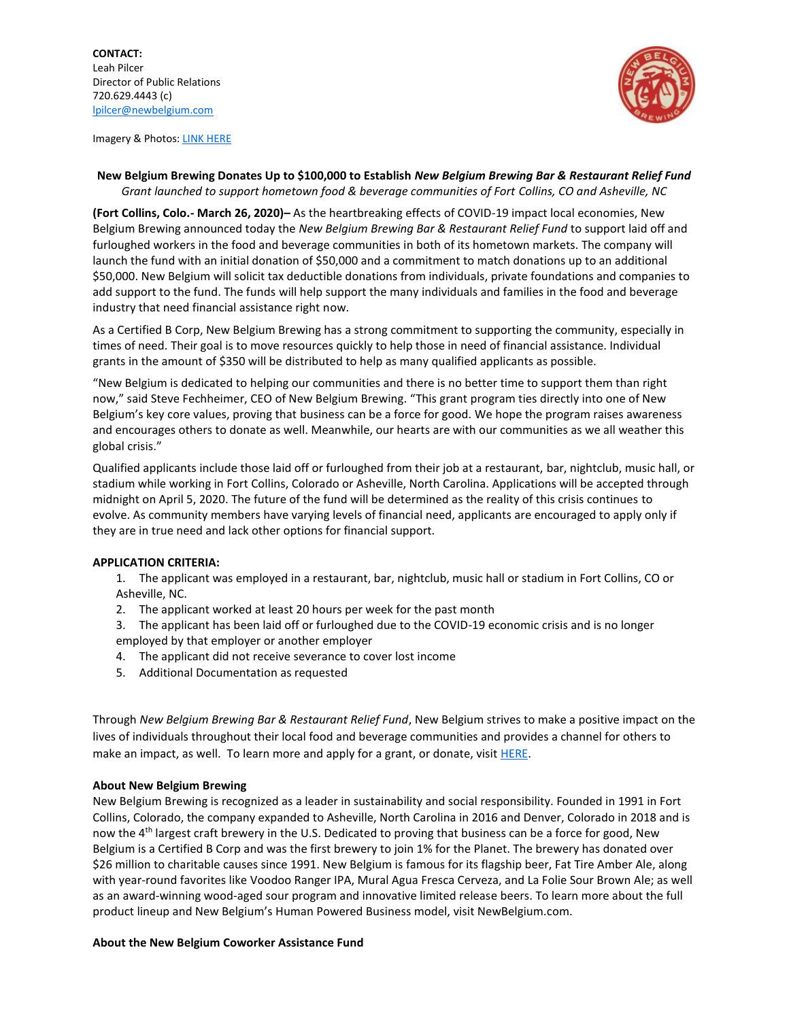

Imagery & Photos: [LINK HERE](https://brandfolder.com/s/q7pvom-ggfrds-46x1w7)

## **New Belgium Brewing Donates Up to \$100,000 to Establish** *New Belgium Brewing Bar & Restaurant Relief Fund Grant launched to support hometown food & beverage communities of Fort Collins, CO and Asheville, NC*

**(Fort Collins, Colo.- March 26, 2020)–** As the heartbreaking effects of COVID-19 impact local economies, New Belgium Brewing announced today the *New Belgium Brewing Bar & Restaurant Relief Fund* to support laid off and furloughed workers in the food and beverage communities in both of its hometown markets. The company will launch the fund with an initial donation of \$50,000 and a commitment to match donations up to an additional \$50,000. New Belgium will solicit tax deductible donations from individuals, private foundations and companies to add support to the fund. The funds will help support the many individuals and families in the food and beverage industry that need financial assistance right now.

As a Certified B Corp, New Belgium Brewing has a strong commitment to supporting the community, especially in times of need. Their goal is to move resources quickly to help those in need of financial assistance. Individual grants in the amount of \$350 will be distributed to help as many qualified applicants as possible.

"New Belgium is dedicated to helping our communities and there is no better time to support them than right now," said Steve Fechheimer, CEO of New Belgium Brewing. "This grant program ties directly into one of New Belgium's key core values, proving that business can be a force for good. We hope the program raises awareness and encourages others to donate as well. Meanwhile, our hearts are with our communities as we all weather this global crisis."

Qualified applicants include those laid off or furloughed from their job at a restaurant, bar, nightclub, music hall, or stadium while working in Fort Collins, Colorado or Asheville, North Carolina. Applications will be accepted through midnight on April 5, 2020. The future of the fund will be determined as the reality of this crisis continues to evolve. As community members have varying levels of financial need, applicants are encouraged to apply only if they are in true need and lack other options for financial support.

## **APPLICATION CRITERIA:**

1. The applicant was employed in a restaurant, bar, nightclub, music hall or stadium in Fort Collins, CO or Asheville, NC.

2. The applicant worked at least 20 hours per week for the past month

3. The applicant has been laid off or furloughed due to the COVID-19 economic crisis and is no longer employed by that employer or another employer

- 4. The applicant did not receive severance to cover lost income
- 5. Additional Documentation as requested

Through *New Belgium Brewing Bar & Restaurant Relief Fund*, New Belgium strives to make a positive impact on the lives of individuals throughout their local food and beverage communities and provides a channel for others to make an impact, as well. To learn more and apply for a grant, or donate, visit **HERE**.

## **About New Belgium Brewing**

New Belgium Brewing is recognized as a leader in sustainability and social responsibility. Founded in 1991 in Fort Collins, Colorado, the company expanded to Asheville, North Carolina in 2016 and Denver, Colorado in 2018 and is now the 4th largest craft brewery in the U.S. Dedicated to proving that business can be a force for good, New Belgium is a Certified B Corp and was the first brewery to join 1% for the Planet. The brewery has donated over \$26 million to charitable causes since 1991. New Belgium is famous for its flagship beer, Fat Tire Amber Ale, along with year-round favorites like Voodoo Ranger IPA, Mural Agua Fresca Cerveza, and La Folie Sour Brown Ale; as well as an award-winning wood-aged sour program and innovative limited release beers. To learn more about the full product lineup and New Belgium's Human Powered Business model, visit NewBelgium.com.

## **About the New Belgium Coworker Assistance Fund**